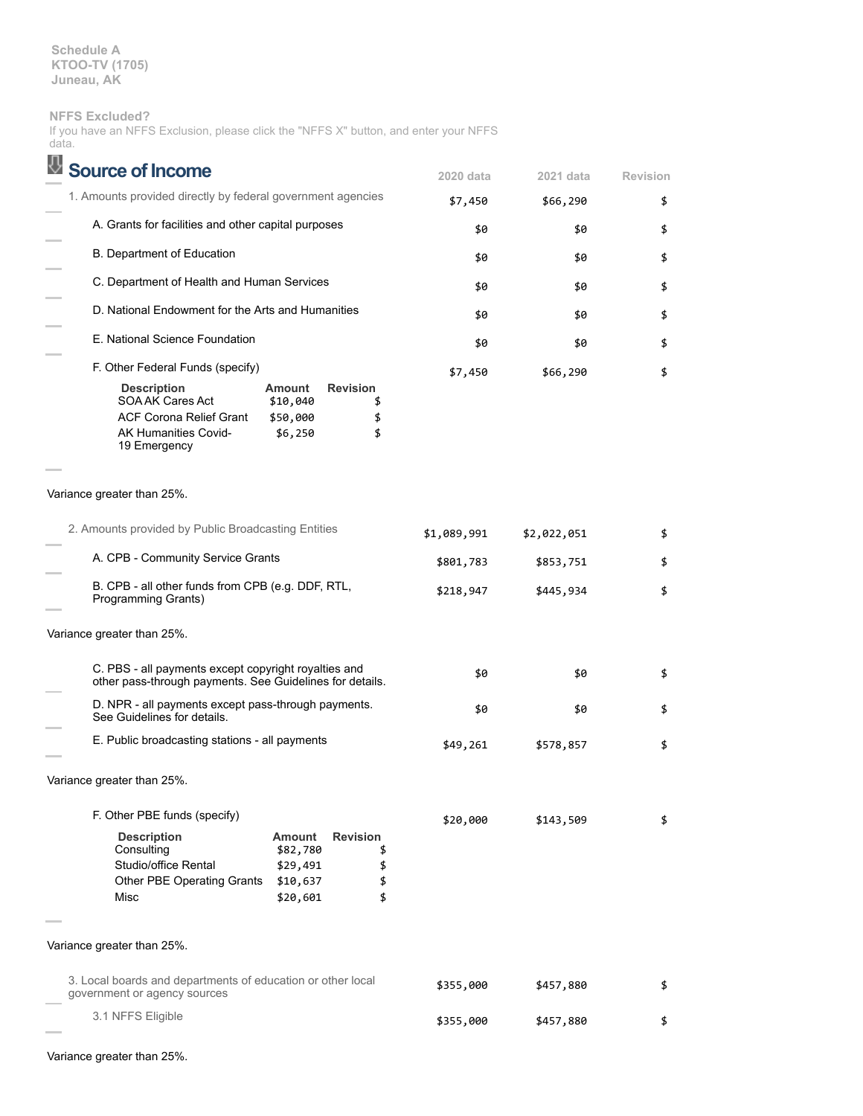**Schedule A KTOO-TV (1705) Juneau, AK**

## **NFFS Excluded?**

|       |  | If you have an NFFS Exclusion, please click the "NFFS X" button, and enter your NFFS |  |  |  |  |  |
|-------|--|--------------------------------------------------------------------------------------|--|--|--|--|--|
| data. |  |                                                                                      |  |  |  |  |  |

| <b>Source of Income</b>                                                                                                                                                |                                         | 2020 data   | 2021 data   | <b>Revision</b> |
|------------------------------------------------------------------------------------------------------------------------------------------------------------------------|-----------------------------------------|-------------|-------------|-----------------|
| 1. Amounts provided directly by federal government agencies                                                                                                            |                                         | \$7,450     | \$66,290    | \$              |
| A. Grants for facilities and other capital purposes                                                                                                                    |                                         | \$0         | \$0         | \$              |
| B. Department of Education                                                                                                                                             |                                         | \$0         | \$0         | \$              |
| C. Department of Health and Human Services                                                                                                                             |                                         | \$0         | \$0         | \$              |
| D. National Endowment for the Arts and Humanities                                                                                                                      |                                         | \$0         | \$0         | \$              |
| E. National Science Foundation                                                                                                                                         |                                         | \$0         | \$0         | \$              |
| F. Other Federal Funds (specify)                                                                                                                                       |                                         | \$7,450     | \$66,290    | \$              |
| <b>Description</b><br>Amount<br>SOA AK Cares Act<br>\$10,040<br><b>ACF Corona Relief Grant</b><br>\$50,000<br><b>AK Humanities Covid-</b><br>\$6,250<br>19 Emergency   | <b>Revision</b><br>\$<br>\$<br>\$       |             |             |                 |
| Variance greater than 25%.                                                                                                                                             |                                         |             |             |                 |
| 2. Amounts provided by Public Broadcasting Entities                                                                                                                    |                                         | \$1,089,991 | \$2,022,051 | \$              |
| A. CPB - Community Service Grants                                                                                                                                      |                                         | \$801,783   | \$853,751   | \$              |
| B. CPB - all other funds from CPB (e.g. DDF, RTL,<br>Programming Grants)                                                                                               | \$218,947                               | \$445,934   | \$          |                 |
| Variance greater than 25%.                                                                                                                                             |                                         |             |             |                 |
| C. PBS - all payments except copyright royalties and<br>other pass-through payments. See Guidelines for details.                                                       |                                         | \$0         | \$0         | \$              |
| D. NPR - all payments except pass-through payments.<br>See Guidelines for details.                                                                                     |                                         | \$0         | \$0         | \$              |
| E. Public broadcasting stations - all payments                                                                                                                         |                                         | \$49,261    | \$578,857   | \$              |
| Variance greater than 25%.                                                                                                                                             |                                         |             |             |                 |
| F. Other PBE funds (specify)                                                                                                                                           |                                         | \$20,000    | \$143,509   | \$              |
| <b>Description</b><br><b>Amount</b><br>Consulting<br>\$82,780<br>Studio/office Rental<br>\$29,491<br><b>Other PBE Operating Grants</b><br>\$10,637<br>Misc<br>\$20,601 | <b>Revision</b><br>\$<br>\$<br>\$<br>\$ |             |             |                 |
| Variance greater than 25%.                                                                                                                                             |                                         |             |             |                 |
| 3. Local boards and departments of education or other local<br>government or agency sources                                                                            |                                         | \$355,000   | \$457,880   | \$              |
| 3.1 NFFS Eligible                                                                                                                                                      |                                         | \$355,000   | \$457,880   | \$              |

Variance greater than 25%.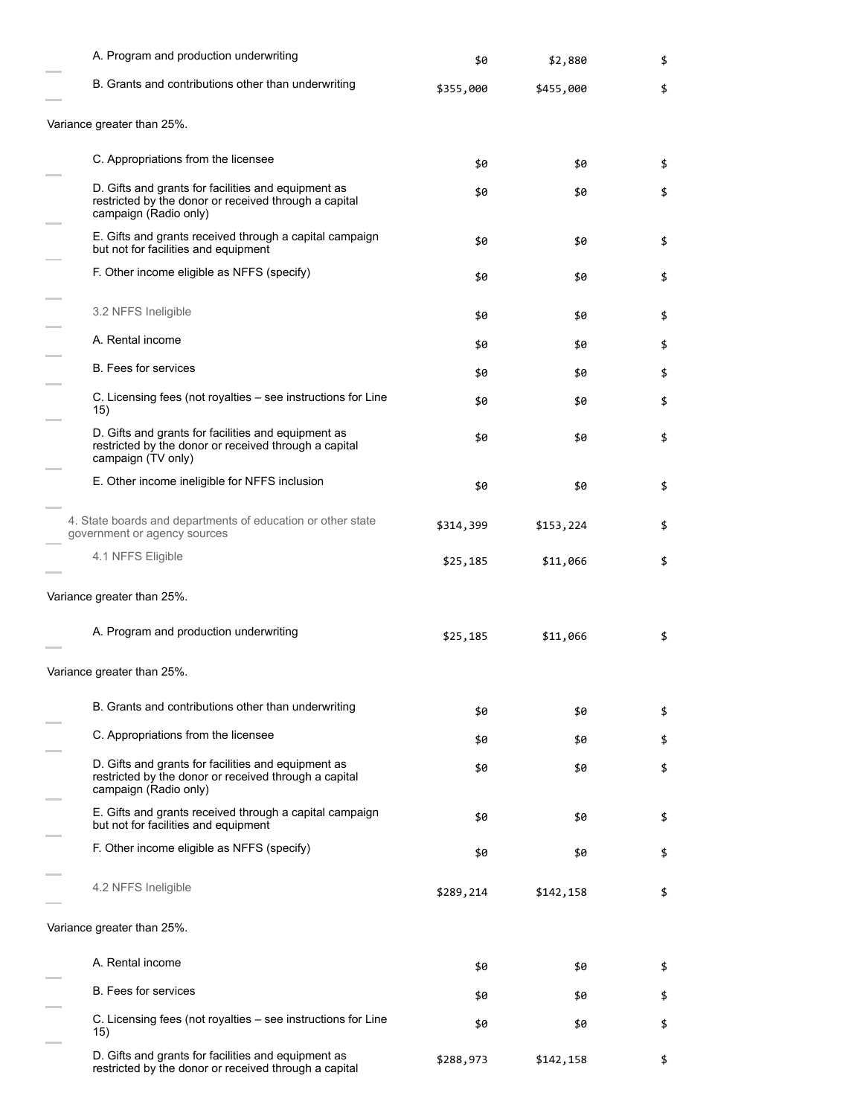| A. Program and production underwriting                                                                                                | \$0       | \$2,880   | \$ |
|---------------------------------------------------------------------------------------------------------------------------------------|-----------|-----------|----|
| B. Grants and contributions other than underwriting                                                                                   | \$355,000 | \$455,000 | \$ |
| Variance greater than 25%.                                                                                                            |           |           |    |
| C. Appropriations from the licensee                                                                                                   | \$0       | \$0       | \$ |
| D. Gifts and grants for facilities and equipment as<br>restricted by the donor or received through a capital<br>campaign (Radio only) | \$0       | \$0       | \$ |
| E. Gifts and grants received through a capital campaign<br>but not for facilities and equipment                                       | \$0       | \$0       | \$ |
| F. Other income eligible as NFFS (specify)                                                                                            | \$0       | \$0       | \$ |
| 3.2 NFFS Ineligible                                                                                                                   | \$0       | \$0       | \$ |
| A. Rental income                                                                                                                      | \$0       | \$0       | \$ |
| <b>B.</b> Fees for services                                                                                                           | \$0       | \$0       | \$ |
| C. Licensing fees (not royalties – see instructions for Line<br>15)                                                                   | \$0       | \$0       | \$ |
| D. Gifts and grants for facilities and equipment as<br>restricted by the donor or received through a capital<br>campaign (TV only)    | \$0       | \$0       | \$ |
| E. Other income ineligible for NFFS inclusion                                                                                         | \$0       | \$0       | \$ |
| 4. State boards and departments of education or other state<br>government or agency sources                                           | \$314,399 | \$153,224 | \$ |
| 4.1 NFFS Eligible                                                                                                                     | \$25,185  | \$11,066  | \$ |
| Variance greater than 25%.                                                                                                            |           |           |    |
| A. Program and production underwriting                                                                                                | \$25,185  | \$11,066  | \$ |
| Variance greater than 25%.                                                                                                            |           |           |    |
| B. Grants and contributions other than underwriting                                                                                   | \$0       | \$0       | \$ |
| C. Appropriations from the licensee                                                                                                   | \$0       | \$0       | \$ |
| D. Gifts and grants for facilities and equipment as<br>restricted by the donor or received through a capital<br>campaign (Radio only) | \$0       | \$0       | \$ |
| E. Gifts and grants received through a capital campaign<br>but not for facilities and equipment                                       | \$0       | \$0       | \$ |
| F. Other income eligible as NFFS (specify)                                                                                            | \$0       | \$0       | \$ |
| 4.2 NFFS Ineligible                                                                                                                   | \$289,214 | \$142,158 | \$ |
| Variance greater than 25%.                                                                                                            |           |           |    |
| A. Rental income                                                                                                                      | \$0       | \$0       | \$ |
| <b>B.</b> Fees for services                                                                                                           | \$0       | \$0       | \$ |
| C. Licensing fees (not royalties – see instructions for Line<br>15)                                                                   | \$0       | \$0       | \$ |
| D. Gifts and grants for facilities and equipment as<br>restricted by the donor or received through a capital                          | \$288,973 | \$142,158 | \$ |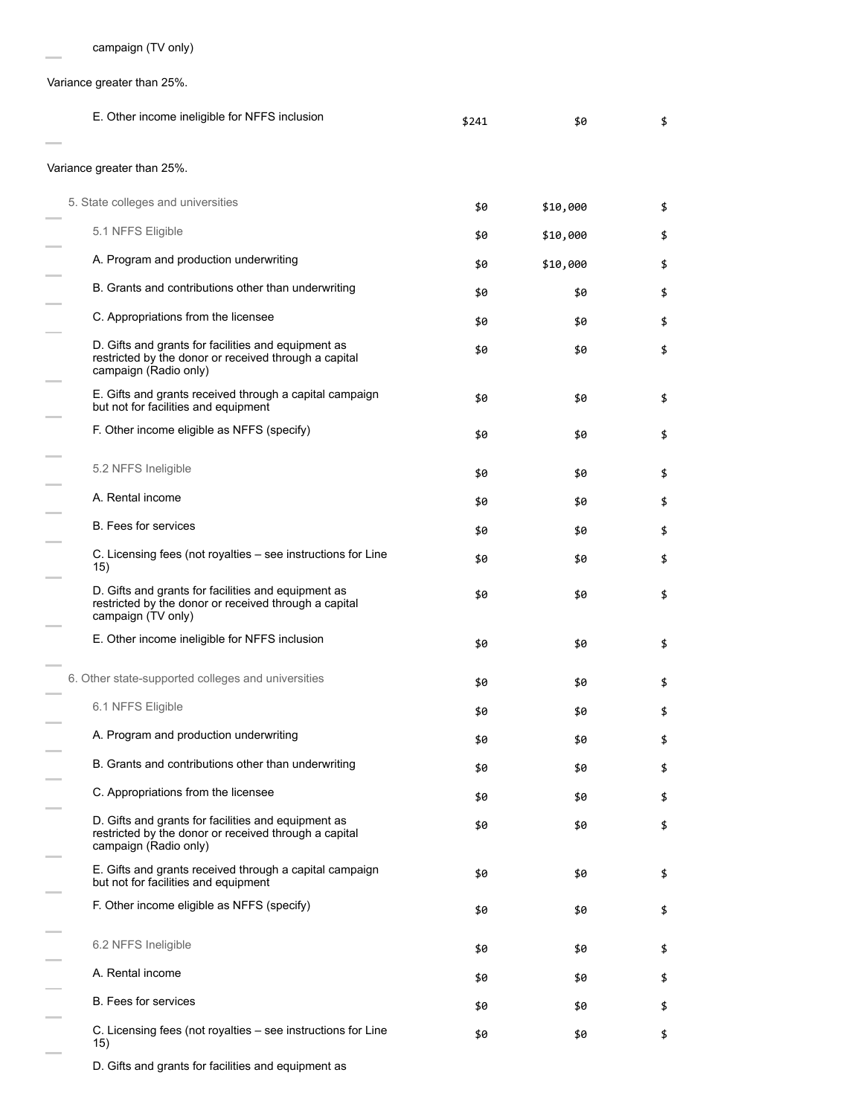Variance greater than 25%.

 $\equiv$ 

÷

÷

i.

÷

÷

i.

÷

i.

 $\overline{a}$ 

| E. Other income ineligible for NFFS inclusion                                                                                         | \$241 | \$0      | \$ |
|---------------------------------------------------------------------------------------------------------------------------------------|-------|----------|----|
| Variance greater than 25%.                                                                                                            |       |          |    |
| 5. State colleges and universities                                                                                                    | \$0   | \$10,000 | \$ |
| 5.1 NFFS Eligible                                                                                                                     | \$0   | \$10,000 | \$ |
| A. Program and production underwriting                                                                                                | \$0   | \$10,000 | \$ |
| B. Grants and contributions other than underwriting                                                                                   | \$0   | \$0      | \$ |
| C. Appropriations from the licensee                                                                                                   | \$0   | \$0      | \$ |
| D. Gifts and grants for facilities and equipment as<br>restricted by the donor or received through a capital<br>campaign (Radio only) | \$0   | \$0      | \$ |
| E. Gifts and grants received through a capital campaign<br>but not for facilities and equipment                                       | \$0   | \$0      | \$ |
| F. Other income eligible as NFFS (specify)                                                                                            | \$0   | \$0      | \$ |
| 5.2 NFFS Ineligible                                                                                                                   | \$0   | \$0      | \$ |
| A. Rental income                                                                                                                      | \$0   | \$0      | \$ |
| <b>B.</b> Fees for services                                                                                                           | \$0   | \$0      | \$ |
| C. Licensing fees (not royalties - see instructions for Line<br>15)                                                                   | \$0   | \$0      | \$ |
| D. Gifts and grants for facilities and equipment as<br>restricted by the donor or received through a capital<br>campaign (TV only)    | \$0   | \$0      | \$ |
| E. Other income ineligible for NFFS inclusion                                                                                         | \$0   | \$0      | \$ |
| 6. Other state-supported colleges and universities                                                                                    | \$0   | \$0      | \$ |
| 6.1 NFFS Eligible                                                                                                                     | \$0   | \$0      | \$ |
| A. Program and production underwriting                                                                                                | \$0   | \$0      | \$ |
| B. Grants and contributions other than underwriting                                                                                   | \$0   | \$0      | \$ |
| C. Appropriations from the licensee                                                                                                   | \$0   | \$0      | \$ |
| D. Gifts and grants for facilities and equipment as<br>restricted by the donor or received through a capital<br>campaign (Radio only) | \$0   | \$0      | \$ |
| E. Gifts and grants received through a capital campaign<br>but not for facilities and equipment                                       | \$0   | \$0      | \$ |
| F. Other income eligible as NFFS (specify)                                                                                            | \$0   | \$0      | \$ |
| 6.2 NFFS Ineligible                                                                                                                   | \$0   | \$0      | \$ |
| A. Rental income                                                                                                                      | \$0   | \$0      | \$ |
| <b>B.</b> Fees for services                                                                                                           | \$0   | \$0      | \$ |
| C. Licensing fees (not royalties - see instructions for Line<br>15)                                                                   | \$0   | \$0      | \$ |

D. Gifts and grants for facilities and equipment as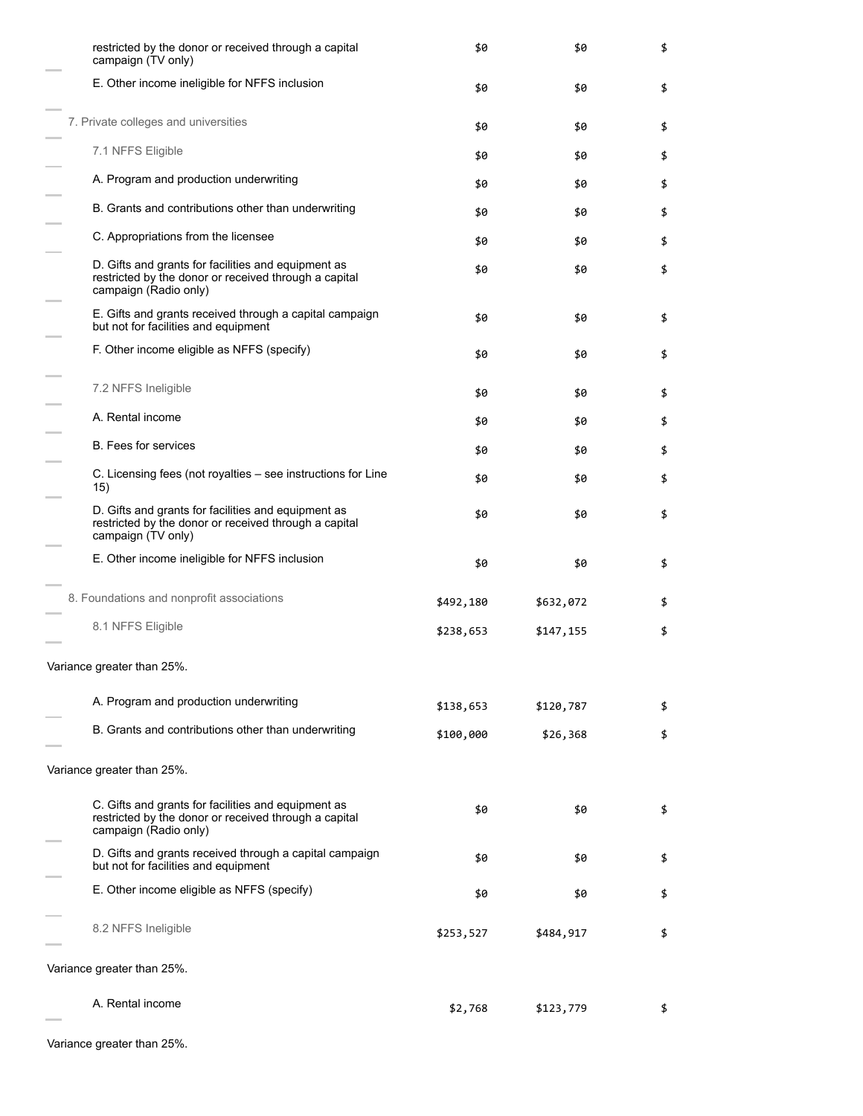| restricted by the donor or received through a capital<br>campaign (TV only)                                                           | \$0       | \$0       | \$ |
|---------------------------------------------------------------------------------------------------------------------------------------|-----------|-----------|----|
| E. Other income ineligible for NFFS inclusion                                                                                         | \$0       | \$0       | \$ |
| 7. Private colleges and universities                                                                                                  | \$0       | \$0       | \$ |
| 7.1 NFFS Eligible                                                                                                                     | \$0       | \$0       | \$ |
| A. Program and production underwriting                                                                                                | \$0       | \$0       | \$ |
| B. Grants and contributions other than underwriting                                                                                   | \$0       | \$0       | \$ |
| C. Appropriations from the licensee                                                                                                   | \$0       | \$0       | \$ |
| D. Gifts and grants for facilities and equipment as<br>restricted by the donor or received through a capital<br>campaign (Radio only) | \$0       | \$0       | \$ |
| E. Gifts and grants received through a capital campaign<br>but not for facilities and equipment                                       | \$0       | \$0       | \$ |
| F. Other income eligible as NFFS (specify)                                                                                            | \$0       | \$0       | \$ |
| 7.2 NFFS Ineligible                                                                                                                   | \$0       | \$0       | \$ |
| A. Rental income                                                                                                                      | \$0       | \$0       | \$ |
| B. Fees for services                                                                                                                  | \$0       | \$0       | \$ |
| C. Licensing fees (not royalties – see instructions for Line<br>15)                                                                   | \$0       | \$0       | \$ |
| D. Gifts and grants for facilities and equipment as<br>restricted by the donor or received through a capital<br>campaign (TV only)    | \$0       | \$0       | \$ |
| E. Other income ineligible for NFFS inclusion                                                                                         | \$0       | \$0       | \$ |
| 8. Foundations and nonprofit associations                                                                                             | \$492,180 | \$632,072 | \$ |
| 8.1 NFFS Eligible                                                                                                                     | \$238,653 | \$147,155 | \$ |
| Variance greater than 25%                                                                                                             |           |           |    |
| A. Program and production underwriting                                                                                                | \$138,653 | \$120,787 | \$ |
| B. Grants and contributions other than underwriting                                                                                   | \$100,000 | \$26,368  | \$ |
| Variance greater than 25%.                                                                                                            |           |           |    |
| C. Gifts and grants for facilities and equipment as<br>restricted by the donor or received through a capital<br>campaign (Radio only) | \$0       | \$0       | \$ |
| D. Gifts and grants received through a capital campaign<br>but not for facilities and equipment                                       | \$0       | \$0       | \$ |
| E. Other income eligible as NFFS (specify)                                                                                            | \$0       | \$0       | \$ |
| 8.2 NFFS Ineligible                                                                                                                   | \$253,527 | \$484,917 | \$ |
| Variance greater than 25%.                                                                                                            |           |           |    |
| A. Rental income                                                                                                                      | \$2,768   | \$123,779 | \$ |

Variance greater than 25%.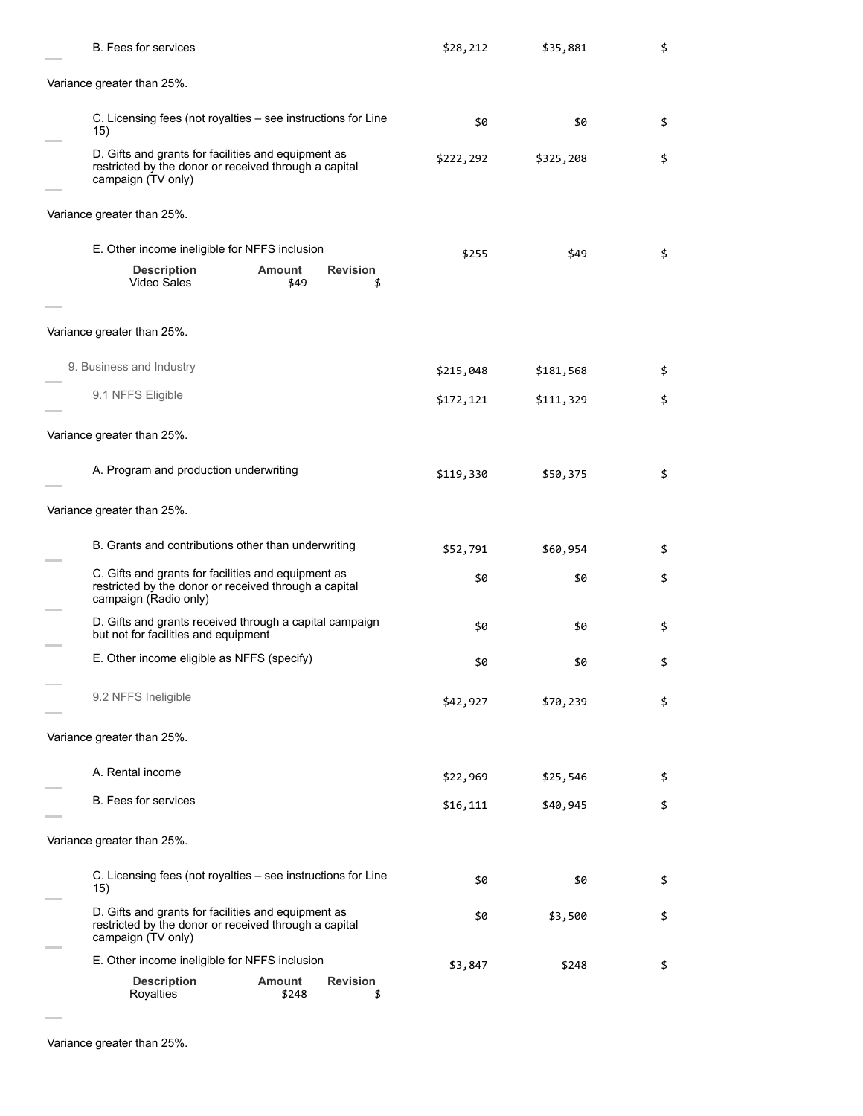| <b>B.</b> Fees for services                                                                                                           |                        |                       | \$28,212  | \$35,881  | \$ |
|---------------------------------------------------------------------------------------------------------------------------------------|------------------------|-----------------------|-----------|-----------|----|
| Variance greater than 25%.                                                                                                            |                        |                       |           |           |    |
| C. Licensing fees (not royalties – see instructions for Line<br>15)                                                                   |                        |                       | \$0       | \$0       | \$ |
| D. Gifts and grants for facilities and equipment as<br>restricted by the donor or received through a capital<br>campaign (TV only)    |                        |                       | \$222,292 | \$325,208 | \$ |
| Variance greater than 25%.                                                                                                            |                        |                       |           |           |    |
| E. Other income ineligible for NFFS inclusion                                                                                         |                        |                       | \$255     | \$49      | \$ |
| <b>Description</b><br>Video Sales                                                                                                     | Amount<br>\$49         | <b>Revision</b><br>\$ |           |           |    |
| Variance greater than 25%.                                                                                                            |                        |                       |           |           |    |
| 9. Business and Industry                                                                                                              |                        |                       | \$215,048 | \$181,568 | \$ |
| 9.1 NFFS Eligible                                                                                                                     |                        |                       | \$172,121 | \$111,329 | \$ |
| Variance greater than 25%.                                                                                                            |                        |                       |           |           |    |
| A. Program and production underwriting                                                                                                |                        |                       | \$119,330 | \$50,375  | \$ |
| Variance greater than 25%.                                                                                                            |                        |                       |           |           |    |
| B. Grants and contributions other than underwriting                                                                                   |                        |                       | \$52,791  | \$60,954  | \$ |
| C. Gifts and grants for facilities and equipment as<br>restricted by the donor or received through a capital<br>campaign (Radio only) |                        |                       | \$0       | \$0       | \$ |
| D. Gifts and grants received through a capital campaign<br>but not for facilities and equipment                                       |                        |                       | \$0       | \$0       | \$ |
| E. Other income eligible as NFFS (specify)                                                                                            |                        |                       | \$0       | \$0       | \$ |
| 9.2 NFFS Ineligible                                                                                                                   |                        |                       | \$42,927  | \$70,239  | \$ |
| Variance greater than 25%.                                                                                                            |                        |                       |           |           |    |
| A. Rental income                                                                                                                      |                        |                       | \$22,969  | \$25,546  | \$ |
| <b>B.</b> Fees for services                                                                                                           |                        |                       | \$16,111  | \$40,945  | \$ |
| Variance greater than 25%.                                                                                                            |                        |                       |           |           |    |
| C. Licensing fees (not royalties – see instructions for Line<br>15)                                                                   |                        |                       | \$0       | \$0       | \$ |
| D. Gifts and grants for facilities and equipment as<br>restricted by the donor or received through a capital<br>campaign (TV only)    |                        |                       | \$0       | \$3,500   | \$ |
| E. Other income ineligible for NFFS inclusion                                                                                         |                        |                       | \$3,847   | \$248     | \$ |
| <b>Description</b><br>Royalties                                                                                                       | <b>Amount</b><br>\$248 | <b>Revision</b><br>\$ |           |           |    |

Variance greater than 25%.

÷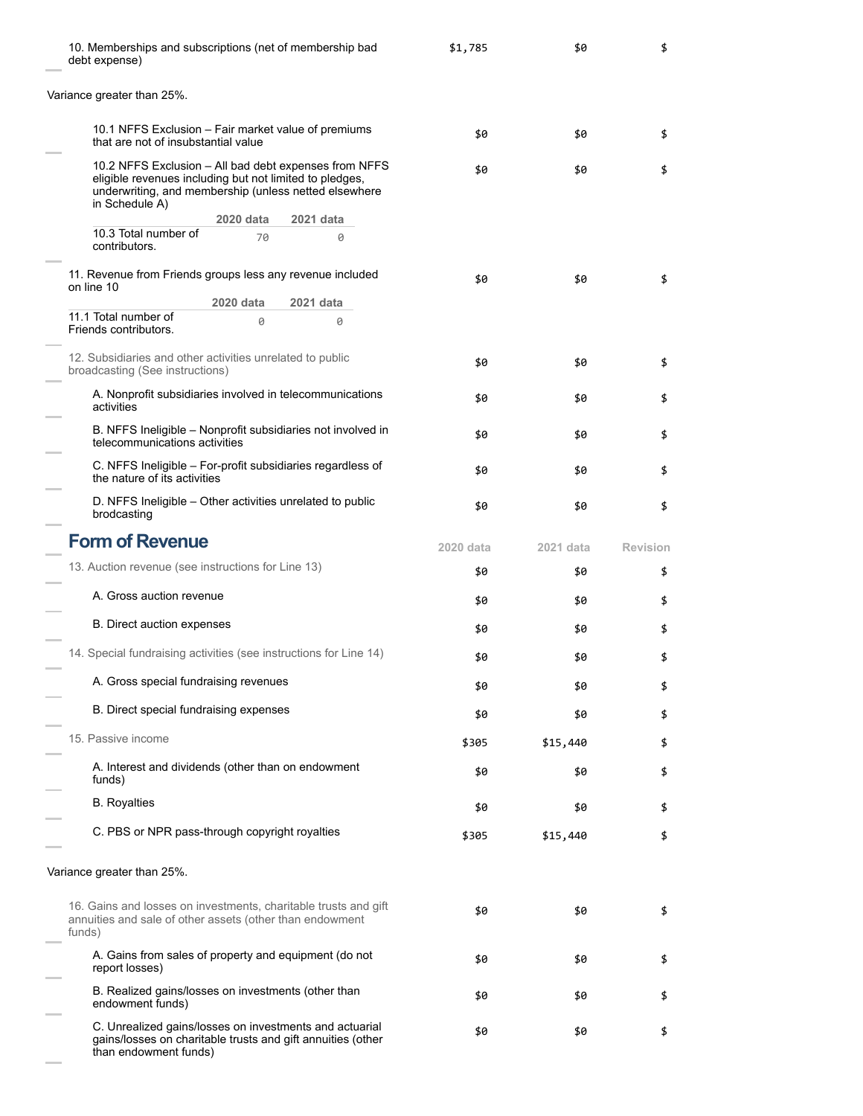| 10. Memberships and subscriptions (net of membership bad<br>debt expense)                                                                                                                   | \$1,785   | \$0       | \$              |
|---------------------------------------------------------------------------------------------------------------------------------------------------------------------------------------------|-----------|-----------|-----------------|
| Variance greater than 25%.                                                                                                                                                                  |           |           |                 |
| 10.1 NFFS Exclusion – Fair market value of premiums<br>that are not of insubstantial value                                                                                                  | \$0       | \$0       | \$              |
| 10.2 NFFS Exclusion – All bad debt expenses from NFFS<br>eligible revenues including but not limited to pledges,<br>underwriting, and membership (unless netted elsewhere<br>in Schedule A) | \$0       | \$0       | \$              |
| 2020 data<br>2021 data<br>10.3 Total number of                                                                                                                                              |           |           |                 |
| 70<br>0<br>contributors.                                                                                                                                                                    |           |           |                 |
| 11. Revenue from Friends groups less any revenue included                                                                                                                                   | \$0       | \$0       | \$              |
| on line 10<br>2020 data<br>2021 data                                                                                                                                                        |           |           |                 |
| 11.1 Total number of<br>0<br>0<br>Friends contributors.                                                                                                                                     |           |           |                 |
| 12. Subsidiaries and other activities unrelated to public                                                                                                                                   |           |           |                 |
| broadcasting (See instructions)                                                                                                                                                             | \$0       | \$0       | \$              |
| A. Nonprofit subsidiaries involved in telecommunications<br>activities                                                                                                                      | \$0       | \$0       | \$              |
| B. NFFS Ineligible - Nonprofit subsidiaries not involved in<br>telecommunications activities                                                                                                | \$0       | \$0       | \$              |
| C. NFFS Ineligible - For-profit subsidiaries regardless of<br>the nature of its activities                                                                                                  | \$0       | \$0       | \$              |
| D. NFFS Ineligible - Other activities unrelated to public<br>brodcasting                                                                                                                    | \$0       | \$0       | \$              |
| <b>Form of Revenue</b>                                                                                                                                                                      | 2020 data | 2021 data | <b>Revision</b> |
| 13. Auction revenue (see instructions for Line 13)                                                                                                                                          | \$0       | \$0       | \$              |
| A. Gross auction revenue                                                                                                                                                                    | \$0       | \$0       | \$              |
| B. Direct auction expenses                                                                                                                                                                  | \$0       | \$0       | \$              |
| 14. Special fundraising activities (see instructions for Line 14)                                                                                                                           | \$0       | \$0       | \$              |
| A. Gross special fundraising revenues                                                                                                                                                       | \$0       | \$0       | \$              |
| B. Direct special fundraising expenses                                                                                                                                                      | \$0       | \$0       | \$              |
| 15. Passive income                                                                                                                                                                          | \$305     | \$15,440  | \$              |
| A. Interest and dividends (other than on endowment<br>funds)                                                                                                                                | \$0       | \$0       | \$              |
| <b>B.</b> Royalties                                                                                                                                                                         | \$0       | \$0       | \$              |
| C. PBS or NPR pass-through copyright royalties                                                                                                                                              | \$305     | \$15,440  | \$              |
| Variance greater than 25%.                                                                                                                                                                  |           |           |                 |
| 16. Gains and losses on investments, charitable trusts and gift<br>annuities and sale of other assets (other than endowment<br>funds)                                                       | \$0       | \$0       | \$              |
| A. Gains from sales of property and equipment (do not<br>report losses)                                                                                                                     | \$0       | \$0       | \$              |
| B. Realized gains/losses on investments (other than<br>endowment funds)                                                                                                                     | \$0       | \$0       | \$              |
| C. Unrealized gains/losses on investments and actuarial<br>gains/losses on charitable trusts and gift annuities (other<br>than endowment funds)                                             | \$0       | \$0       | \$              |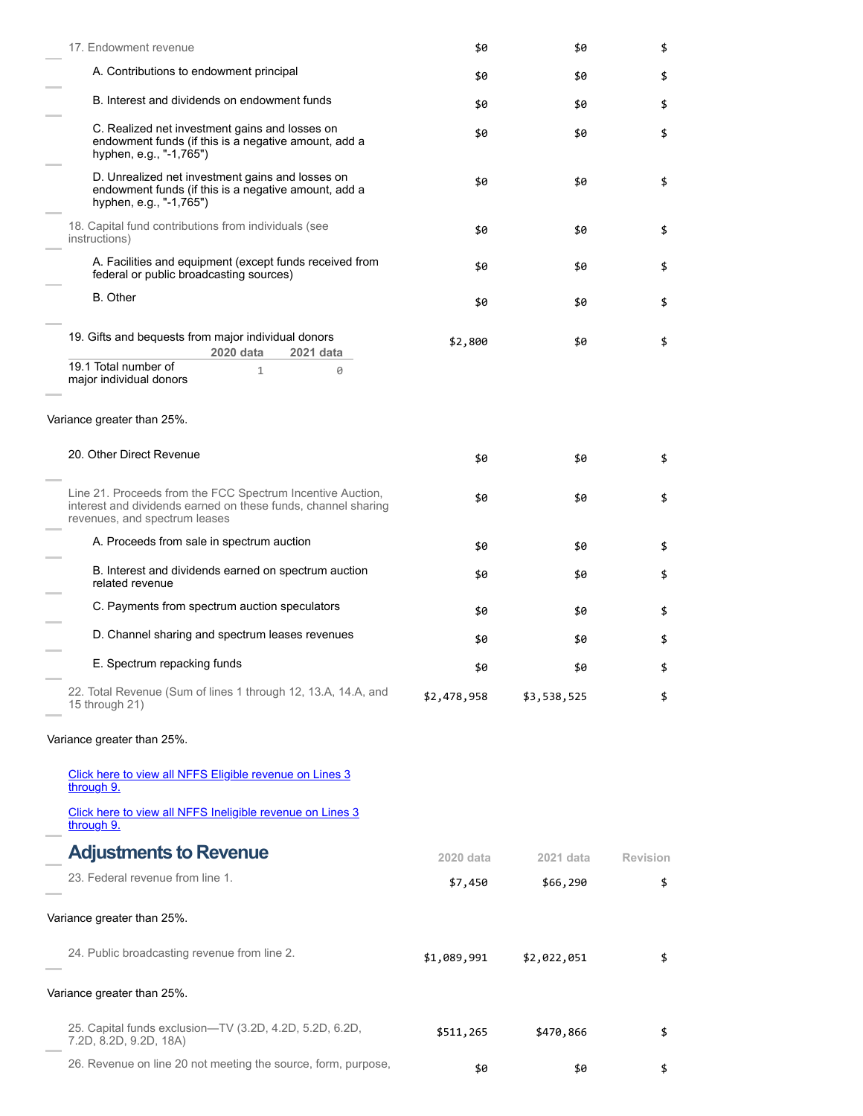| 17. Endowment revenue                                                                                                                                        | \$0         | \$0         | \$       |
|--------------------------------------------------------------------------------------------------------------------------------------------------------------|-------------|-------------|----------|
| A. Contributions to endowment principal                                                                                                                      | \$0         | \$0         | \$       |
| B. Interest and dividends on endowment funds                                                                                                                 | \$0         | \$0         | \$       |
| C. Realized net investment gains and losses on<br>endowment funds (if this is a negative amount, add a<br>hyphen, e.g., "-1,765")                            | \$0         | \$0         | \$       |
| D. Unrealized net investment gains and losses on<br>endowment funds (if this is a negative amount, add a<br>hyphen, e.g., "-1,765")                          | \$0         | \$0         | \$       |
| 18. Capital fund contributions from individuals (see<br>instructions)                                                                                        | \$0         | \$0         | \$       |
| A. Facilities and equipment (except funds received from<br>federal or public broadcasting sources)                                                           | \$0         | \$0         | \$       |
| <b>B.</b> Other                                                                                                                                              | \$0         | \$0         | \$       |
| 19. Gifts and bequests from major individual donors<br>2020 data<br>2021 data                                                                                | \$2,800     | \$0         | \$       |
| 19.1 Total number of<br>$\mathbf{1}$<br>0<br>major individual donors                                                                                         |             |             |          |
| Variance greater than 25%.                                                                                                                                   |             |             |          |
| 20. Other Direct Revenue                                                                                                                                     | \$0         | \$0         | \$       |
| Line 21. Proceeds from the FCC Spectrum Incentive Auction,<br>interest and dividends earned on these funds, channel sharing<br>revenues, and spectrum leases | \$0         | \$0         | \$       |
| A. Proceeds from sale in spectrum auction                                                                                                                    | \$0         | \$0         | \$       |
| B. Interest and dividends earned on spectrum auction<br>related revenue                                                                                      | \$0         | \$0         | \$       |
| C. Payments from spectrum auction speculators                                                                                                                | \$0         | \$0         | \$       |
| D. Channel sharing and spectrum leases revenues                                                                                                              | \$0         | \$0         | \$       |
| E. Spectrum repacking funds                                                                                                                                  | \$0         | \$0         | \$       |
| 22. Total Revenue (Sum of lines 1 through 12, 13.A, 14.A, and<br>15 through 21)                                                                              | \$2,478,958 | \$3,538,525 | \$       |
| Variance greater than 25%.                                                                                                                                   |             |             |          |
| Click here to view all NFFS Eligible revenue on Lines 3<br>through 9.                                                                                        |             |             |          |
| Click here to view all NFFS Ineligible revenue on Lines 3<br>through 9.                                                                                      |             |             |          |
| <b>Adjustments to Revenue</b>                                                                                                                                | 2020 data   | 2021 data   | Revision |
| 23. Federal revenue from line 1.                                                                                                                             | \$7,450     | \$66,290    | \$       |
| Variance greater than 25%.                                                                                                                                   |             |             |          |
| 24. Public broadcasting revenue from line 2.                                                                                                                 | \$1,089,991 | \$2,022,051 | \$       |
| Variance greater than 25%.                                                                                                                                   |             |             |          |
| 25. Capital funds exclusion—TV (3.2D, 4.2D, 5.2D, 6.2D,<br>7.2D, 8.2D, 9.2D, 18A)                                                                            | \$511,265   | \$470,866   | \$       |
| 26. Revenue on line 20 not meeting the source, form, purpose,                                                                                                | \$0         | \$0         | \$       |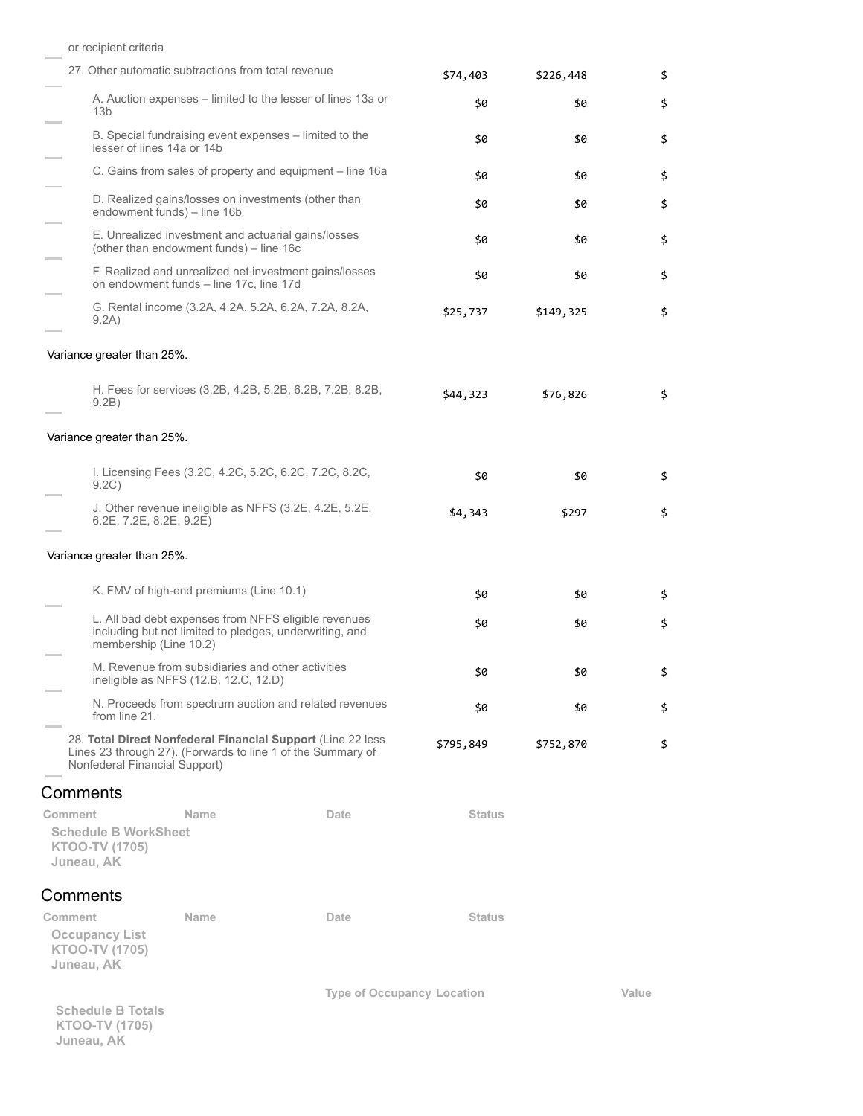|                                                                        | 27. Other automatic subtractions from total revenue                                                             |                                                                                                                             | \$74,403      | \$226,448 | \$    |
|------------------------------------------------------------------------|-----------------------------------------------------------------------------------------------------------------|-----------------------------------------------------------------------------------------------------------------------------|---------------|-----------|-------|
| 13 <sub>b</sub>                                                        |                                                                                                                 | A. Auction expenses – limited to the lesser of lines 13a or                                                                 | \$0           | \$0       | \$    |
| lesser of lines 14a or 14b                                             | B. Special fundraising event expenses – limited to the                                                          |                                                                                                                             | \$0           | \$0       | \$    |
|                                                                        |                                                                                                                 | C. Gains from sales of property and equipment – line 16a                                                                    | \$0           | \$0       | \$    |
|                                                                        | D. Realized gains/losses on investments (other than<br>endowment funds) - line 16b                              |                                                                                                                             | \$0           | \$0       | \$    |
|                                                                        | E. Unrealized investment and actuarial gains/losses<br>(other than endowment funds) - line 16c                  |                                                                                                                             | \$0           | \$0       | \$    |
|                                                                        | on endowment funds - line 17c, line 17d                                                                         | F. Realized and unrealized net investment gains/losses                                                                      | \$0           | \$0       | \$    |
| 9.2A)                                                                  | G. Rental income (3.2A, 4.2A, 5.2A, 6.2A, 7.2A, 8.2A,                                                           |                                                                                                                             | \$25,737      | \$149,325 | \$    |
| Variance greater than 25%.                                             |                                                                                                                 |                                                                                                                             |               |           |       |
| 9.2B)                                                                  |                                                                                                                 | H. Fees for services (3.2B, 4.2B, 5.2B, 6.2B, 7.2B, 8.2B,                                                                   | \$44,323      | \$76,826  | \$    |
| Variance greater than 25%.                                             |                                                                                                                 |                                                                                                                             |               |           |       |
| 9.2C)                                                                  | I. Licensing Fees (3.2C, 4.2C, 5.2C, 6.2C, 7.2C, 8.2C,                                                          |                                                                                                                             | \$0           | \$0       | \$    |
| 6.2E, 7.2E, 8.2E, 9.2E)                                                | J. Other revenue ineligible as NFFS (3.2E, 4.2E, 5.2E,                                                          |                                                                                                                             | \$4,343       | \$297     | \$    |
| Variance greater than 25%.                                             |                                                                                                                 |                                                                                                                             |               |           |       |
|                                                                        | K. FMV of high-end premiums (Line 10.1)                                                                         |                                                                                                                             | \$0           | \$0       | \$    |
| membership (Line 10.2)                                                 | L. All bad debt expenses from NFFS eligible revenues<br>including but not limited to pledges, underwriting, and |                                                                                                                             | \$0           | \$0       | \$    |
|                                                                        | M. Revenue from subsidiaries and other activities<br>ineligible as NFFS (12.B, 12.C, 12.D)                      |                                                                                                                             | \$0           | \$0       | \$    |
| from line 21.                                                          |                                                                                                                 | N. Proceeds from spectrum auction and related revenues                                                                      | \$0           | \$0       | \$    |
| Nonfederal Financial Support)                                          |                                                                                                                 | 28. Total Direct Nonfederal Financial Support (Line 22 less)<br>Lines 23 through 27). (Forwards to line 1 of the Summary of | \$795,849     | \$752,870 | \$    |
| Comments                                                               |                                                                                                                 |                                                                                                                             |               |           |       |
| Comment<br><b>Schedule B WorkSheet</b><br>KTOO-TV (1705)<br>Juneau, AK | <b>Name</b>                                                                                                     | Date                                                                                                                        | <b>Status</b> |           |       |
| Comments                                                               |                                                                                                                 |                                                                                                                             |               |           |       |
| Comment                                                                | Name                                                                                                            | Date                                                                                                                        | <b>Status</b> |           |       |
| <b>Occupancy List</b><br>KTOO-TV (1705)<br>Juneau, AK                  |                                                                                                                 |                                                                                                                             |               |           |       |
| <b>Schedule B Totals</b><br><b>KTOO-TV (1705)</b><br>Juneau, AK        |                                                                                                                 | <b>Type of Occupancy Location</b>                                                                                           |               |           | Value |

or recipient criteria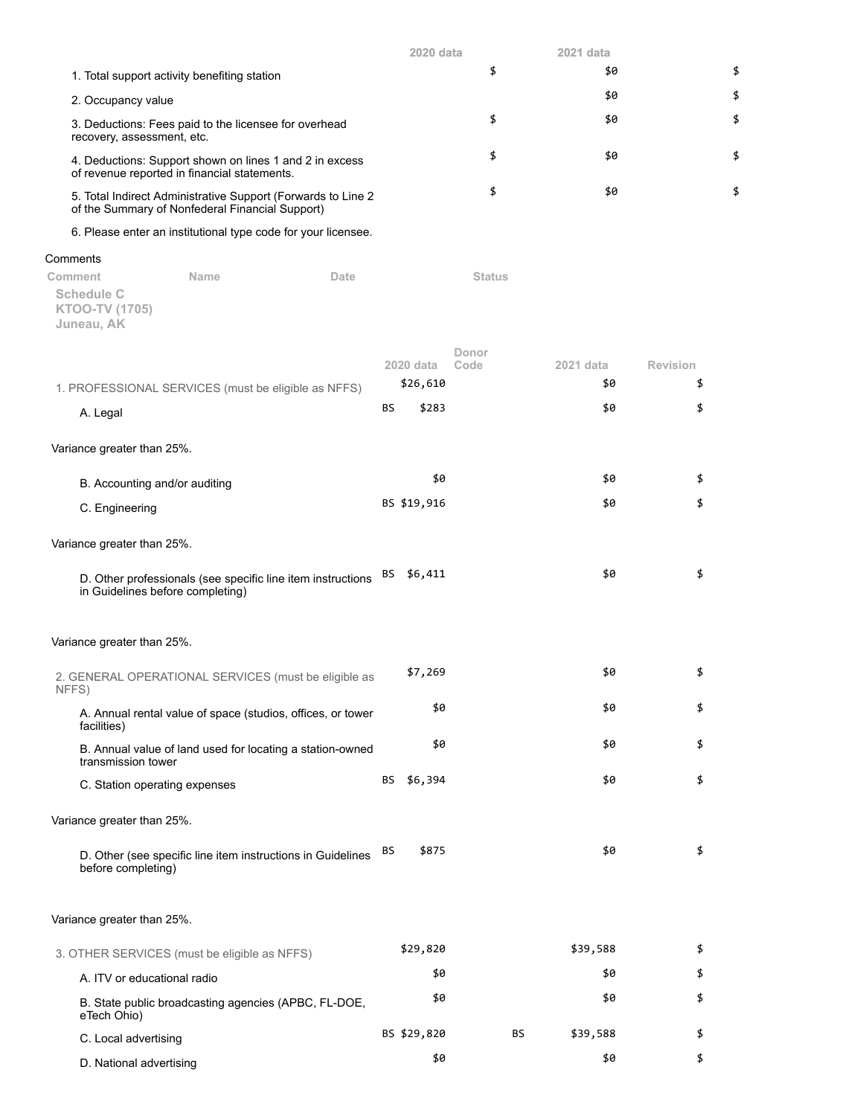|                                                                                                                  | 2020 data | 2021 data |    |
|------------------------------------------------------------------------------------------------------------------|-----------|-----------|----|
| 1. Total support activity benefiting station                                                                     |           | \$0       | \$ |
| 2. Occupancy value                                                                                               |           | \$0       | \$ |
| 3. Deductions: Fees paid to the licensee for overhead<br>recovery, assessment, etc.                              |           | \$0       |    |
| 4. Deductions: Support shown on lines 1 and 2 in excess<br>of revenue reported in financial statements.          |           | \$0       |    |
| 5. Total Indirect Administrative Support (Forwards to Line 2)<br>of the Summary of Nonfederal Financial Support) |           | \$0       |    |

6. Please enter an institutional type code for your licensee.

## Comments

**Comment Name Date Status Schedule C KTOO-TV (1705) Juneau, AK**

|                                                                                                 |    | 2020 data   | Donor<br>Code | 2021 data | <b>Revision</b> |
|-------------------------------------------------------------------------------------------------|----|-------------|---------------|-----------|-----------------|
| 1. PROFESSIONAL SERVICES (must be eligible as NFFS)                                             |    | \$26,610    |               | \$0       | \$              |
| A. Legal                                                                                        | BS | \$283       |               | \$0       | \$              |
| Variance greater than 25%.                                                                      |    |             |               |           |                 |
| B. Accounting and/or auditing                                                                   |    | \$0         |               | \$0       | \$              |
| C. Engineering                                                                                  |    | BS \$19,916 |               | \$0       | \$              |
| Variance greater than 25%.                                                                      |    |             |               |           |                 |
| D. Other professionals (see specific line item instructions<br>in Guidelines before completing) | BS | \$6,411     |               | \$0       | \$              |
| Variance greater than 25%.                                                                      |    |             |               |           |                 |
| 2. GENERAL OPERATIONAL SERVICES (must be eligible as<br>NFFS)                                   |    | \$7,269     |               | \$0       | \$              |
| A. Annual rental value of space (studios, offices, or tower<br>facilities)                      |    | \$0         |               | \$0       | \$              |
| B. Annual value of land used for locating a station-owned<br>transmission tower                 |    | \$0         |               | \$0       | \$              |
| C. Station operating expenses                                                                   | BS | \$6,394     |               | \$0       | \$              |
| Variance greater than 25%.                                                                      |    |             |               |           |                 |
| D. Other (see specific line item instructions in Guidelines<br>before completing)               | BS | \$875       |               | \$0       | \$              |
| Variance greater than 25%.                                                                      |    |             |               |           |                 |
| 3. OTHER SERVICES (must be eligible as NFFS)                                                    |    | \$29,820    |               | \$39,588  | \$              |
| A. ITV or educational radio                                                                     |    | \$0         |               | \$0       | \$              |
| B. State public broadcasting agencies (APBC, FL-DOE,<br>eTech Ohio)                             |    | \$0         |               | \$0       | \$              |

C. Local advertising 6. September 2011 10 BS \$29,820 BS \$39,588 \$ D. National advertising  $$6$  \$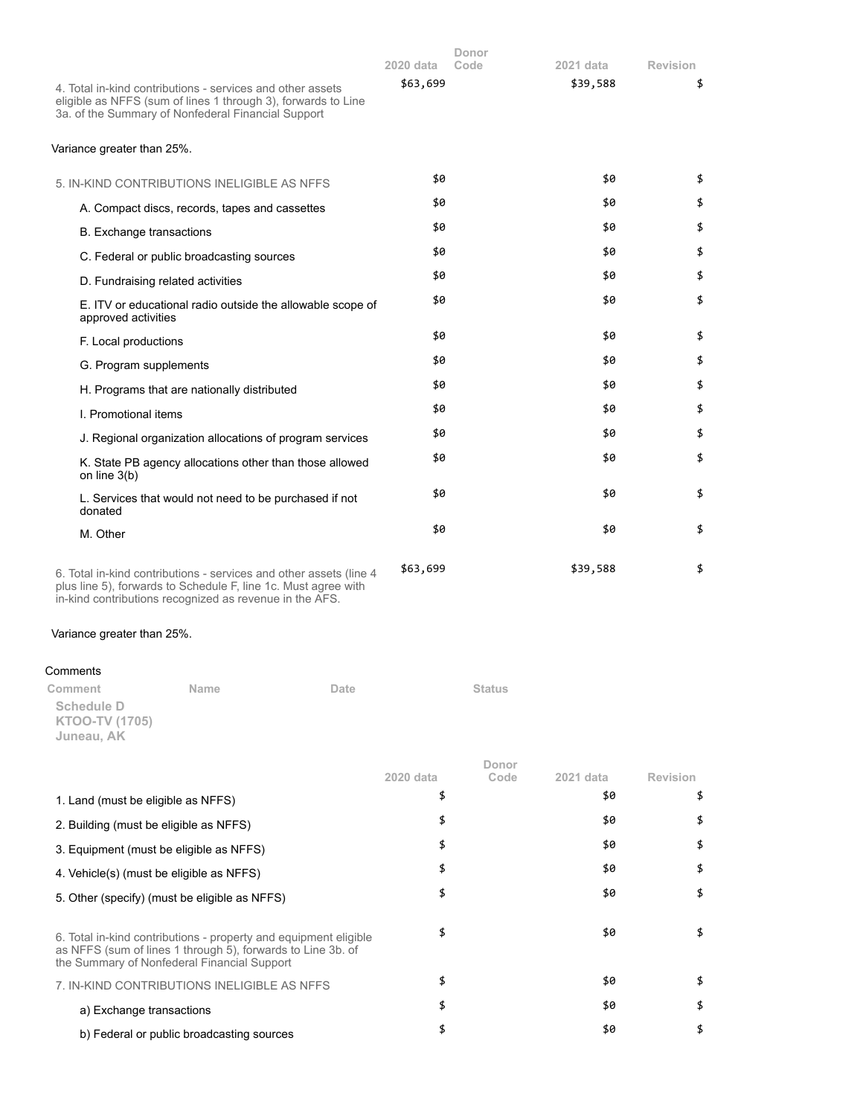| 4. Total in-kind contributions - services and other assets<br>eligible as NFFS (sum of lines 1 through 3), forwards to Line<br>3a. of the Summary of Nonfederal Financial Support               |      | 2020 data<br>\$63,699 | Donor<br>Code | 2021 data<br>\$39,588 | <b>Revision</b><br>\$ |
|-------------------------------------------------------------------------------------------------------------------------------------------------------------------------------------------------|------|-----------------------|---------------|-----------------------|-----------------------|
| Variance greater than 25%.                                                                                                                                                                      |      |                       |               |                       |                       |
| 5. IN-KIND CONTRIBUTIONS INELIGIBLE AS NFFS                                                                                                                                                     |      | \$0                   |               | \$0                   | \$                    |
| A. Compact discs, records, tapes and cassettes                                                                                                                                                  |      | \$0                   |               | \$0                   | \$                    |
| <b>B.</b> Exchange transactions                                                                                                                                                                 |      | \$0                   |               | \$0                   | \$                    |
| C. Federal or public broadcasting sources                                                                                                                                                       |      | \$0                   |               | \$0                   | \$                    |
| D. Fundraising related activities                                                                                                                                                               |      | \$0                   |               | \$0                   | \$                    |
| E. ITV or educational radio outside the allowable scope of<br>approved activities                                                                                                               |      | \$0                   |               | \$0                   | \$                    |
| F. Local productions                                                                                                                                                                            |      | \$0                   |               | \$0                   | \$                    |
| G. Program supplements                                                                                                                                                                          |      | \$0                   |               | \$0                   | \$                    |
| H. Programs that are nationally distributed                                                                                                                                                     |      | \$0                   |               | \$0                   | \$                    |
| I. Promotional items                                                                                                                                                                            |      | \$0                   |               | \$0                   | \$                    |
| J. Regional organization allocations of program services                                                                                                                                        |      | \$0                   |               | \$0                   | \$                    |
| K. State PB agency allocations other than those allowed<br>on line $3(b)$                                                                                                                       |      | \$0                   |               | \$0                   | \$                    |
| L. Services that would not need to be purchased if not<br>donated                                                                                                                               |      | \$0                   |               | \$0                   | \$                    |
| M. Other                                                                                                                                                                                        |      | \$0                   |               | \$0                   | \$                    |
| 6. Total in-kind contributions - services and other assets (line 4<br>plus line 5), forwards to Schedule F, line 1c. Must agree with<br>in-kind contributions recognized as revenue in the AFS. |      | \$63,699              |               | \$39,588              | \$                    |
| Variance greater than 25%.                                                                                                                                                                      |      |                       |               |                       |                       |
| Comments                                                                                                                                                                                        |      |                       |               |                       |                       |
| Name<br>Comment                                                                                                                                                                                 | Date |                       | <b>Status</b> |                       |                       |
| <b>Schedule D</b><br><b>KTOO-TV (1705)</b><br>Juneau, AK                                                                                                                                        |      |                       |               |                       |                       |
|                                                                                                                                                                                                 |      | 2020 data             | Donor<br>Code | 2021 data             | <b>Revision</b>       |
| 1. Land (must be eligible as NFFS)                                                                                                                                                              |      | \$                    |               | \$0                   | \$                    |
| 2. Building (must be eligible as NFFS)                                                                                                                                                          |      | \$                    |               | \$0                   | \$                    |
| 3. Equipment (must be eligible as NFFS)                                                                                                                                                         |      | \$                    |               | \$0                   | \$                    |

4. Vehicle(s) (must be eligible as NFFS)  $\qquad$  \$ 5. Other (specify) (must be eligible as NFFS)  $\frac{1}{3}$   $\frac{1}{3}$   $\frac{1}{3}$ 

| \$0<br>6. Total in-kind contributions - property and equipment eligible<br>as NFFS (sum of lines 1 through 5), forwards to Line 3b. of<br>the Summary of Nonfederal Financial Support |    |
|---------------------------------------------------------------------------------------------------------------------------------------------------------------------------------------|----|
| \$0<br>7. IN-KIND CONTRIBUTIONS INELIGIBLE AS NFFS                                                                                                                                    |    |
| \$0<br>\$<br>a) Exchange transactions                                                                                                                                                 | \$ |
| \$0<br>Я<br>b) Federal or public broadcasting sources                                                                                                                                 | \$ |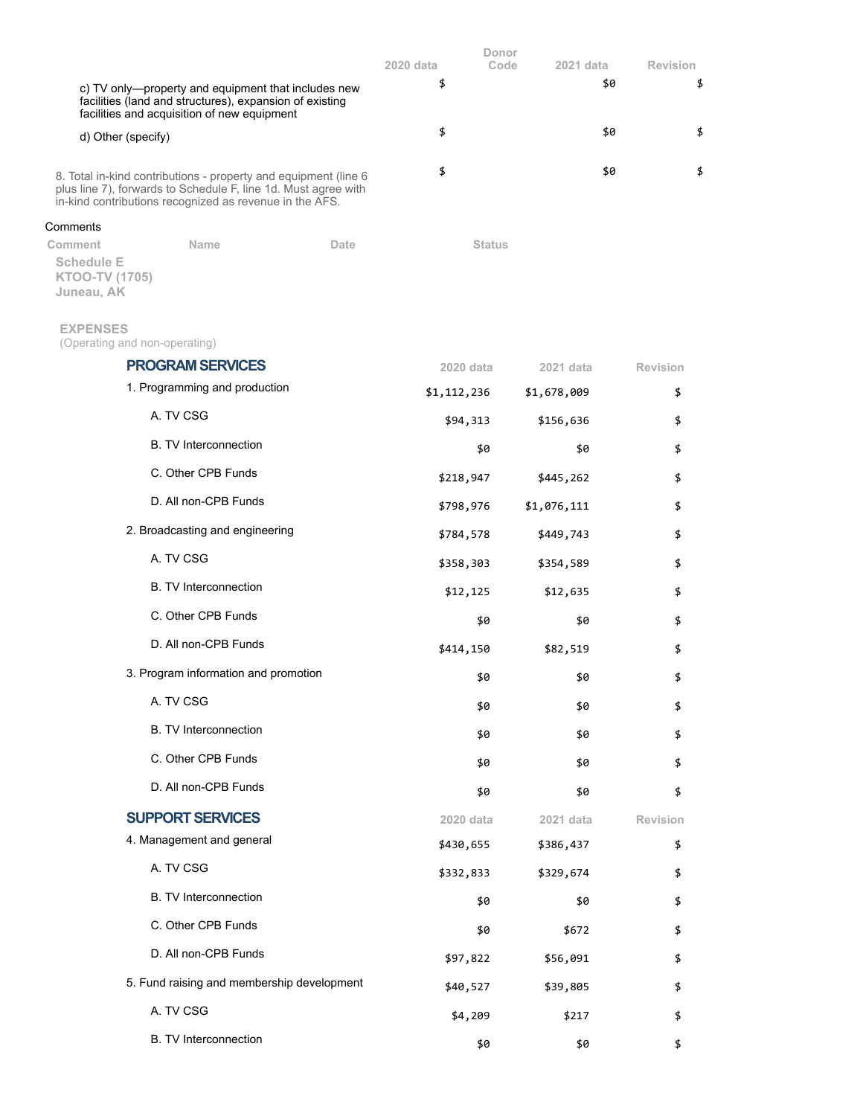|                                                                                                                                                                                              |      | 2020 data     | Donor<br>Code<br>2021 data | <b>Revision</b> |
|----------------------------------------------------------------------------------------------------------------------------------------------------------------------------------------------|------|---------------|----------------------------|-----------------|
| c) TV only-property and equipment that includes new<br>facilities (land and structures), expansion of existing<br>facilities and acquisition of new equipment                                |      | \$            |                            | \$<br>\$0       |
| d) Other (specify)                                                                                                                                                                           |      | \$            |                            | \$0<br>\$       |
| 8. Total in-kind contributions - property and equipment (line 6<br>plus line 7), forwards to Schedule F, line 1d. Must agree with<br>in-kind contributions recognized as revenue in the AFS. |      | \$            |                            | \$0<br>\$       |
| Comments                                                                                                                                                                                     |      |               |                            |                 |
| <b>Name</b><br>Comment<br><b>Schedule E</b><br>KTOO-TV (1705)<br>Juneau, AK                                                                                                                  | Date | <b>Status</b> |                            |                 |
| <b>EXPENSES</b><br>(Operating and non-operating)                                                                                                                                             |      |               |                            |                 |
| <b>PROGRAM SERVICES</b>                                                                                                                                                                      |      | 2020 data     | 2021 data                  | <b>Revision</b> |
| 1. Programming and production                                                                                                                                                                |      | \$1,112,236   | \$1,678,009                | \$              |
| A. TV CSG                                                                                                                                                                                    |      | \$94,313      | \$156,636                  | \$              |
| <b>B.</b> TV Interconnection                                                                                                                                                                 |      | \$0           | \$0                        | \$              |
| C. Other CPB Funds                                                                                                                                                                           |      | \$218,947     | \$445,262                  | \$              |
| D. All non-CPB Funds                                                                                                                                                                         |      | \$798,976     | \$1,076,111                | \$              |
| 2. Broadcasting and engineering                                                                                                                                                              |      | \$784,578     | \$449,743                  | \$              |
| A. TV CSG                                                                                                                                                                                    |      | \$358,303     | \$354,589                  | \$              |
| <b>B.</b> TV Interconnection                                                                                                                                                                 |      | \$12,125      | \$12,635                   | \$              |
| C. Other CPB Funds                                                                                                                                                                           |      | \$0           | \$0                        | \$              |
| D. All non-CPB Funds                                                                                                                                                                         |      | \$414,150     | \$82,519                   | \$              |
| 3. Program information and promotion                                                                                                                                                         |      | \$0           | \$0                        | \$              |
| A. TV CSG                                                                                                                                                                                    |      | \$0           | \$0                        | \$              |
| <b>B. TV Interconnection</b>                                                                                                                                                                 |      | \$0           | \$0                        | \$              |
| C. Other CPB Funds                                                                                                                                                                           |      | \$0           | \$0                        | \$              |
| D. All non-CPB Funds                                                                                                                                                                         |      | \$0           | \$0                        | \$              |
| <b>SUPPORT SERVICES</b>                                                                                                                                                                      |      | 2020 data     | 2021 data                  | Revision        |
| 4. Management and general                                                                                                                                                                    |      | \$430,655     | \$386,437                  | \$              |
| A. TV CSG                                                                                                                                                                                    |      | \$332,833     | \$329,674                  | \$              |
| <b>B. TV Interconnection</b>                                                                                                                                                                 |      | \$0           | \$0                        | \$              |
| C. Other CPB Funds                                                                                                                                                                           |      | \$0           | \$672                      | \$              |
| D. All non-CPB Funds                                                                                                                                                                         |      | \$97,822      | \$56,091                   | \$              |
| 5. Fund raising and membership development                                                                                                                                                   |      | \$40,527      | \$39,805                   | \$              |
| A. TV CSG                                                                                                                                                                                    |      | \$4,209       | \$217                      | \$              |
| <b>B. TV Interconnection</b>                                                                                                                                                                 |      | \$0           | \$0                        | \$              |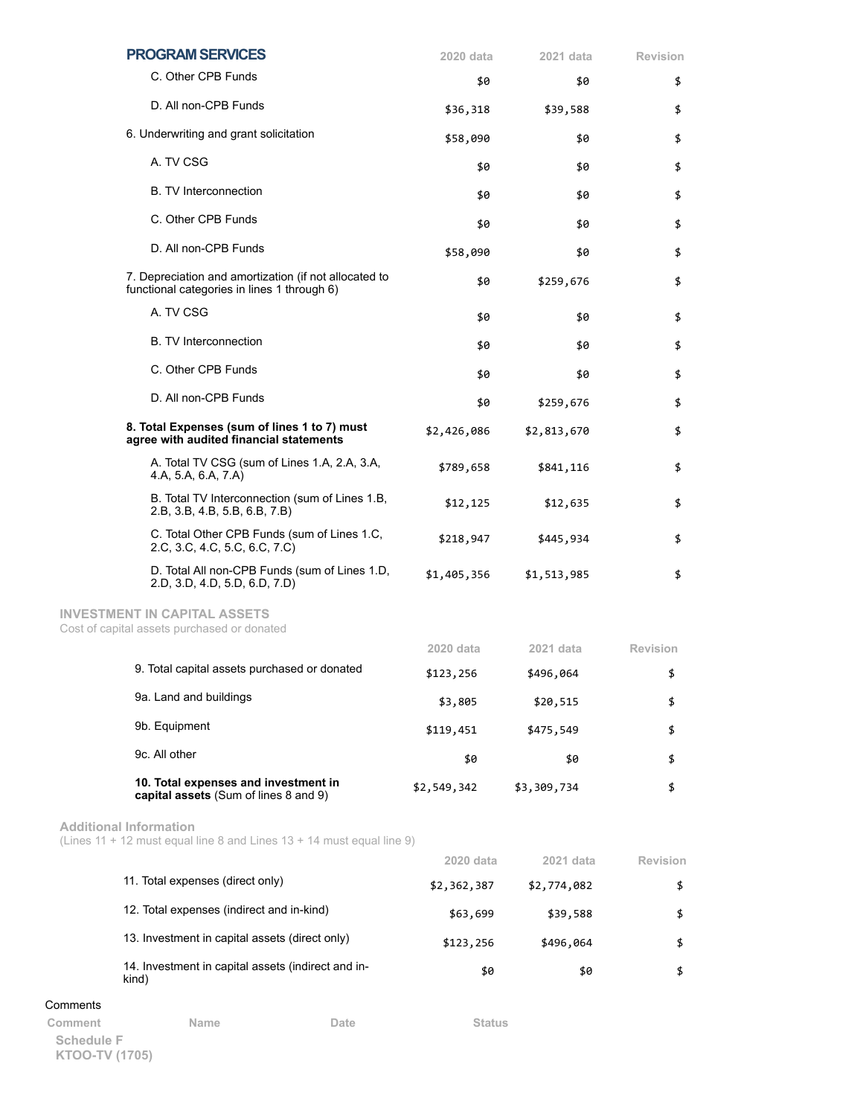|          | <b>PROGRAM SERVICES</b>                                                                                | 2020 data     | 2021 data   | <b>Revision</b> |
|----------|--------------------------------------------------------------------------------------------------------|---------------|-------------|-----------------|
|          | C. Other CPB Funds                                                                                     | \$0           | \$0         | \$              |
|          | D. All non-CPB Funds                                                                                   | \$36,318      | \$39,588    | \$              |
|          | 6. Underwriting and grant solicitation                                                                 | \$58,090      | \$0         | \$              |
|          | A. TV CSG                                                                                              | \$0           | \$0         | \$              |
|          | <b>B.</b> TV Interconnection                                                                           | \$0           | \$0         | \$              |
|          | C. Other CPB Funds                                                                                     | \$0           | \$0         | \$              |
|          | D. All non-CPB Funds                                                                                   | \$58,090      | \$0         | \$              |
|          | 7. Depreciation and amortization (if not allocated to<br>functional categories in lines 1 through 6)   | \$0           | \$259,676   | \$              |
|          | A. TV CSG                                                                                              | \$0           | \$0         | \$              |
|          | <b>B.</b> TV Interconnection                                                                           | \$0           | \$0         | \$              |
|          | C. Other CPB Funds                                                                                     | \$0           | \$0         | \$              |
|          | D. All non-CPB Funds                                                                                   | \$0           | \$259,676   | \$              |
|          | 8. Total Expenses (sum of lines 1 to 7) must<br>agree with audited financial statements                | \$2,426,086   | \$2,813,670 | \$              |
|          | A. Total TV CSG (sum of Lines 1.A, 2.A, 3.A,<br>4.A, 5.A, 6.A, 7.A)                                    | \$789,658     | \$841,116   | \$              |
|          | B. Total TV Interconnection (sum of Lines 1.B,<br>2.B, 3.B, 4.B, 5.B, 6.B, 7.B)                        | \$12,125      | \$12,635    | \$              |
|          | C. Total Other CPB Funds (sum of Lines 1.C,<br>2.C, 3.C, 4.C, 5.C, 6.C, 7.C)                           | \$218,947     | \$445,934   | \$              |
|          | D. Total All non-CPB Funds (sum of Lines 1.D,<br>2.D, 3.D, 4.D, 5.D, 6.D, 7.D)                         | \$1,405,356   | \$1,513,985 | \$              |
|          | <b>INVESTMENT IN CAPITAL ASSETS</b><br>Cost of capital assets purchased or donated                     |               |             |                 |
|          |                                                                                                        | 2020 data     | 2021 data   | <b>Revision</b> |
|          | 9. Total capital assets purchased or donated                                                           | \$123,256     | \$496,064   | \$              |
|          | 9a. Land and buildings                                                                                 | \$3,805       | \$20,515    | \$              |
|          | 9b. Equipment                                                                                          | \$119,451     | \$475,549   | \$              |
|          | 9c. All other                                                                                          | \$0           | \$0         | \$              |
|          | 10. Total expenses and investment in<br>capital assets (Sum of lines 8 and 9)                          | \$2,549,342   | \$3,309,734 | \$              |
|          | <b>Additional Information</b><br>(Lines 11 + 12 must equal line 8 and Lines 13 + 14 must equal line 9) |               |             |                 |
|          |                                                                                                        | 2020 data     | 2021 data   | <b>Revision</b> |
|          | 11. Total expenses (direct only)                                                                       | \$2,362,387   | \$2,774,082 | \$              |
|          | 12. Total expenses (indirect and in-kind)                                                              | \$63,699      | \$39,588    | \$              |
|          | 13. Investment in capital assets (direct only)                                                         | \$123,256     | \$496,064   | \$              |
|          | 14. Investment in capital assets (indirect and in-<br>kind)                                            | \$0           | \$0         | \$              |
| Comments |                                                                                                        |               |             |                 |
| Comment  | Name<br>Date                                                                                           | <b>Status</b> |             |                 |

**Schedule F KTOO-TV (1705)**